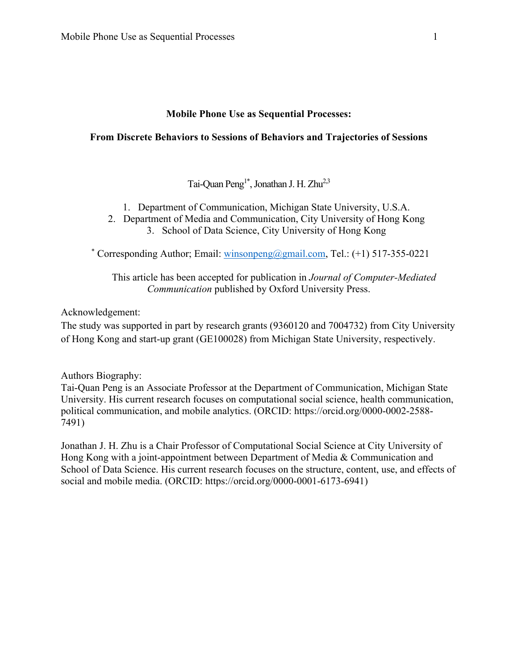# **Mobile Phone Use as Sequential Processes:**

# **From Discrete Behaviors to Sessions of Behaviors and Trajectories of Sessions**

Tai-Quan Peng<sup>1\*</sup>, Jonathan J. H. Zhu<sup>2,3</sup>

- 1. Department of Communication, Michigan State University, U.S.A.
- 2. Department of Media and Communication, City University of Hong Kong 3. School of Data Science, City University of Hong Kong

\* Corresponding Author; Email: [winsonpeng@gmail.com,](mailto:winsonpeng@gmail.com) Tel.:  $(+1)$  517-355-0221

This article has been accepted for publication in *Journal of Computer-Mediated Communication* published by Oxford University Press.

# Acknowledgement:

The study was supported in part by research grants (9360120 and 7004732) from City University of Hong Kong and start-up grant (GE100028) from Michigan State University, respectively.

Authors Biography:

Tai-Quan Peng is an Associate Professor at the Department of Communication, Michigan State University. His current research focuses on computational social science, health communication, political communication, and mobile analytics. (ORCID: https://orcid.org/0000-0002-2588- 7491)

Jonathan J. H. Zhu is a Chair Professor of Computational Social Science at City University of Hong Kong with a joint-appointment between Department of Media & Communication and School of Data Science. His current research focuses on the structure, content, use, and effects of social and mobile media. (ORCID: https://orcid.org/0000-0001-6173-6941)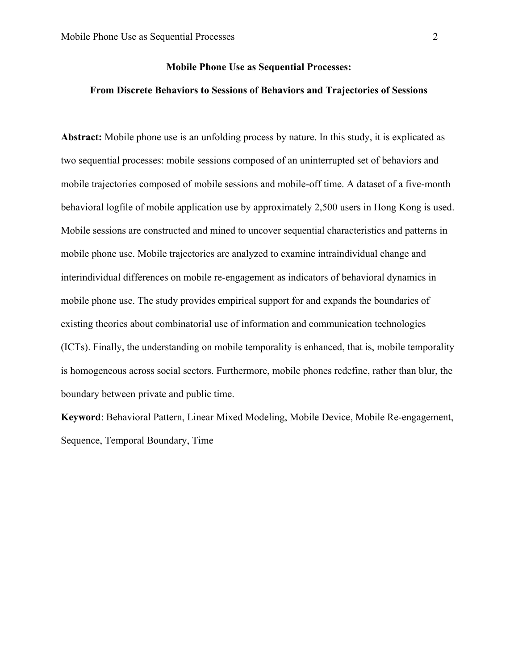# **Mobile Phone Use as Sequential Processes:**

## **From Discrete Behaviors to Sessions of Behaviors and Trajectories of Sessions**

**Abstract:** Mobile phone use is an unfolding process by nature. In this study, it is explicated as two sequential processes: mobile sessions composed of an uninterrupted set of behaviors and mobile trajectories composed of mobile sessions and mobile-off time. A dataset of a five-month behavioral logfile of mobile application use by approximately 2,500 users in Hong Kong is used. Mobile sessions are constructed and mined to uncover sequential characteristics and patterns in mobile phone use. Mobile trajectories are analyzed to examine intraindividual change and interindividual differences on mobile re-engagement as indicators of behavioral dynamics in mobile phone use. The study provides empirical support for and expands the boundaries of existing theories about combinatorial use of information and communication technologies (ICTs). Finally, the understanding on mobile temporality is enhanced, that is, mobile temporality is homogeneous across social sectors. Furthermore, mobile phones redefine, rather than blur, the boundary between private and public time.

**Keyword**: Behavioral Pattern, Linear Mixed Modeling, Mobile Device, Mobile Re-engagement, Sequence, Temporal Boundary, Time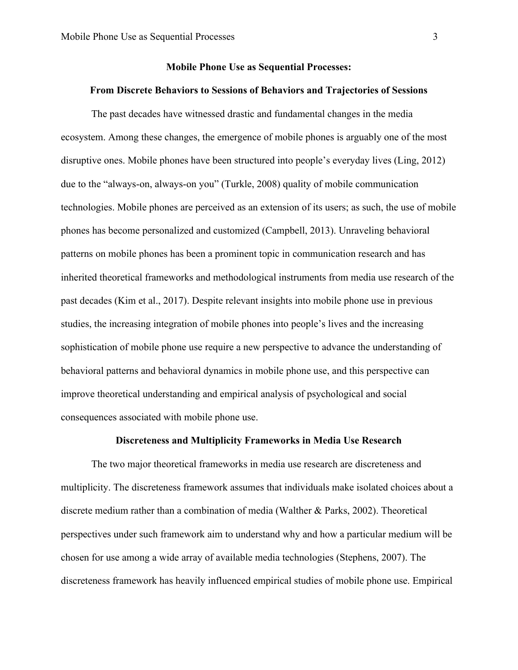## **Mobile Phone Use as Sequential Processes:**

## **From Discrete Behaviors to Sessions of Behaviors and Trajectories of Sessions**

The past decades have witnessed drastic and fundamental changes in the media ecosystem. Among these changes, the emergence of mobile phones is arguably one of the most disruptive ones. Mobile phones have been structured into people's everyday lives (Ling, 2012) due to the "always-on, always-on you" (Turkle, 2008) quality of mobile communication technologies. Mobile phones are perceived as an extension of its users; as such, the use of mobile phones has become personalized and customized (Campbell, 2013). Unraveling behavioral patterns on mobile phones has been a prominent topic in communication research and has inherited theoretical frameworks and methodological instruments from media use research of the past decades (Kim et al., 2017). Despite relevant insights into mobile phone use in previous studies, the increasing integration of mobile phones into people's lives and the increasing sophistication of mobile phone use require a new perspective to advance the understanding of behavioral patterns and behavioral dynamics in mobile phone use, and this perspective can improve theoretical understanding and empirical analysis of psychological and social consequences associated with mobile phone use.

## **Discreteness and Multiplicity Frameworks in Media Use Research**

The two major theoretical frameworks in media use research are discreteness and multiplicity. The discreteness framework assumes that individuals make isolated choices about a discrete medium rather than a combination of media (Walther & Parks, 2002). Theoretical perspectives under such framework aim to understand why and how a particular medium will be chosen for use among a wide array of available media technologies (Stephens, 2007). The discreteness framework has heavily influenced empirical studies of mobile phone use. Empirical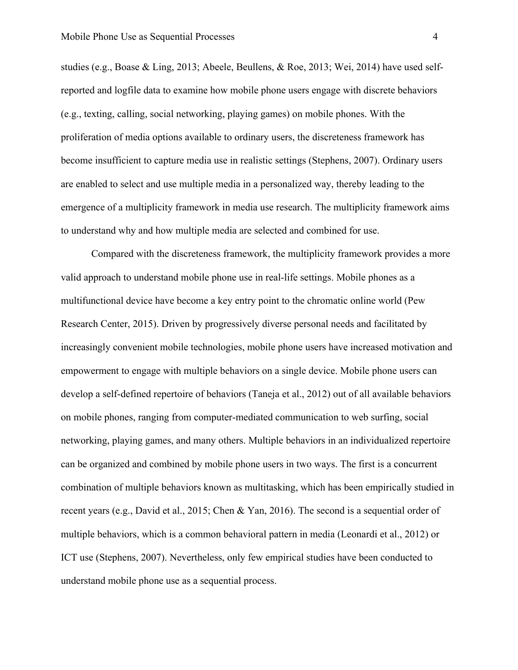studies (e.g., Boase & Ling, 2013; Abeele, Beullens, & Roe, 2013; Wei, 2014) have used selfreported and logfile data to examine how mobile phone users engage with discrete behaviors (e.g., texting, calling, social networking, playing games) on mobile phones. With the proliferation of media options available to ordinary users, the discreteness framework has become insufficient to capture media use in realistic settings (Stephens, 2007). Ordinary users are enabled to select and use multiple media in a personalized way, thereby leading to the emergence of a multiplicity framework in media use research. The multiplicity framework aims to understand why and how multiple media are selected and combined for use.

Compared with the discreteness framework, the multiplicity framework provides a more valid approach to understand mobile phone use in real-life settings. Mobile phones as a multifunctional device have become a key entry point to the chromatic online world (Pew Research Center, 2015). Driven by progressively diverse personal needs and facilitated by increasingly convenient mobile technologies, mobile phone users have increased motivation and empowerment to engage with multiple behaviors on a single device. Mobile phone users can develop a self-defined repertoire of behaviors (Taneja et al., 2012) out of all available behaviors on mobile phones, ranging from computer-mediated communication to web surfing, social networking, playing games, and many others. Multiple behaviors in an individualized repertoire can be organized and combined by mobile phone users in two ways. The first is a concurrent combination of multiple behaviors known as multitasking, which has been empirically studied in recent years (e.g., David et al., 2015; Chen & Yan, 2016). The second is a sequential order of multiple behaviors, which is a common behavioral pattern in media (Leonardi et al., 2012) or ICT use (Stephens, 2007). Nevertheless, only few empirical studies have been conducted to understand mobile phone use as a sequential process.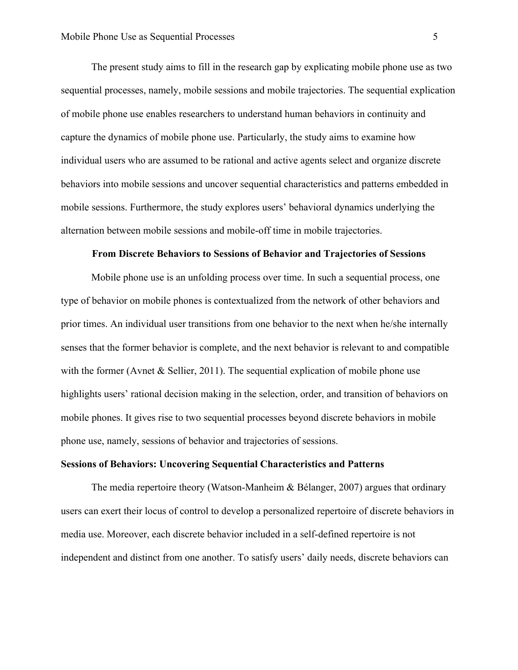The present study aims to fill in the research gap by explicating mobile phone use as two sequential processes, namely, mobile sessions and mobile trajectories. The sequential explication of mobile phone use enables researchers to understand human behaviors in continuity and capture the dynamics of mobile phone use. Particularly, the study aims to examine how individual users who are assumed to be rational and active agents select and organize discrete behaviors into mobile sessions and uncover sequential characteristics and patterns embedded in mobile sessions. Furthermore, the study explores users' behavioral dynamics underlying the alternation between mobile sessions and mobile-off time in mobile trajectories.

#### **From Discrete Behaviors to Sessions of Behavior and Trajectories of Sessions**

Mobile phone use is an unfolding process over time. In such a sequential process, one type of behavior on mobile phones is contextualized from the network of other behaviors and prior times. An individual user transitions from one behavior to the next when he/she internally senses that the former behavior is complete, and the next behavior is relevant to and compatible with the former (Avnet & Sellier, 2011). The sequential explication of mobile phone use highlights users' rational decision making in the selection, order, and transition of behaviors on mobile phones. It gives rise to two sequential processes beyond discrete behaviors in mobile phone use, namely, sessions of behavior and trajectories of sessions.

# **Sessions of Behaviors: Uncovering Sequential Characteristics and Patterns**

The media repertoire theory (Watson-Manheim & Bélanger, 2007) argues that ordinary users can exert their locus of control to develop a personalized repertoire of discrete behaviors in media use. Moreover, each discrete behavior included in a self-defined repertoire is not independent and distinct from one another. To satisfy users' daily needs, discrete behaviors can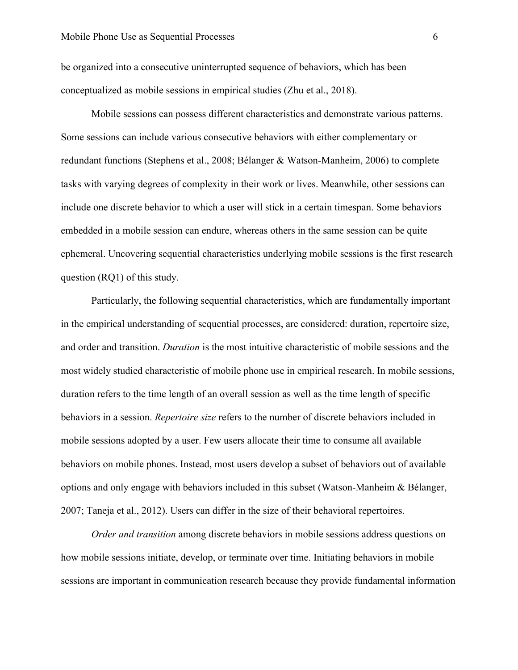be organized into a consecutive uninterrupted sequence of behaviors, which has been conceptualized as mobile sessions in empirical studies (Zhu et al., 2018).

Mobile sessions can possess different characteristics and demonstrate various patterns. Some sessions can include various consecutive behaviors with either complementary or redundant functions (Stephens et al., 2008; Bélanger & Watson-Manheim, 2006) to complete tasks with varying degrees of complexity in their work or lives. Meanwhile, other sessions can include one discrete behavior to which a user will stick in a certain timespan. Some behaviors embedded in a mobile session can endure, whereas others in the same session can be quite ephemeral. Uncovering sequential characteristics underlying mobile sessions is the first research question (RQ1) of this study.

Particularly, the following sequential characteristics, which are fundamentally important in the empirical understanding of sequential processes, are considered: duration, repertoire size, and order and transition. *Duration* is the most intuitive characteristic of mobile sessions and the most widely studied characteristic of mobile phone use in empirical research. In mobile sessions, duration refers to the time length of an overall session as well as the time length of specific behaviors in a session. *Repertoire size* refers to the number of discrete behaviors included in mobile sessions adopted by a user. Few users allocate their time to consume all available behaviors on mobile phones. Instead, most users develop a subset of behaviors out of available options and only engage with behaviors included in this subset (Watson-Manheim & Bélanger, 2007; Taneja et al., 2012). Users can differ in the size of their behavioral repertoires.

*Order and transition* among discrete behaviors in mobile sessions address questions on how mobile sessions initiate, develop, or terminate over time. Initiating behaviors in mobile sessions are important in communication research because they provide fundamental information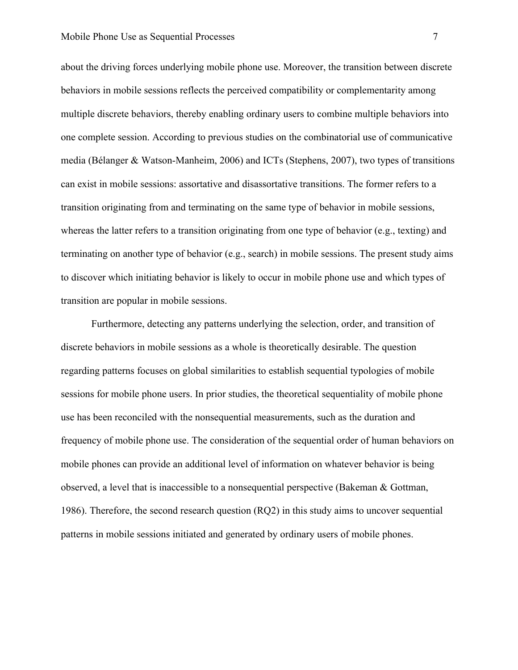about the driving forces underlying mobile phone use. Moreover, the transition between discrete behaviors in mobile sessions reflects the perceived compatibility or complementarity among multiple discrete behaviors, thereby enabling ordinary users to combine multiple behaviors into one complete session. According to previous studies on the combinatorial use of communicative media (Bélanger & Watson-Manheim, 2006) and ICTs (Stephens, 2007), two types of transitions can exist in mobile sessions: assortative and disassortative transitions. The former refers to a transition originating from and terminating on the same type of behavior in mobile sessions, whereas the latter refers to a transition originating from one type of behavior (e.g., texting) and terminating on another type of behavior (e.g., search) in mobile sessions. The present study aims to discover which initiating behavior is likely to occur in mobile phone use and which types of transition are popular in mobile sessions.

Furthermore, detecting any patterns underlying the selection, order, and transition of discrete behaviors in mobile sessions as a whole is theoretically desirable. The question regarding patterns focuses on global similarities to establish sequential typologies of mobile sessions for mobile phone users. In prior studies, the theoretical sequentiality of mobile phone use has been reconciled with the nonsequential measurements, such as the duration and frequency of mobile phone use. The consideration of the sequential order of human behaviors on mobile phones can provide an additional level of information on whatever behavior is being observed, a level that is inaccessible to a nonsequential perspective (Bakeman & Gottman, 1986). Therefore, the second research question (RQ2) in this study aims to uncover sequential patterns in mobile sessions initiated and generated by ordinary users of mobile phones.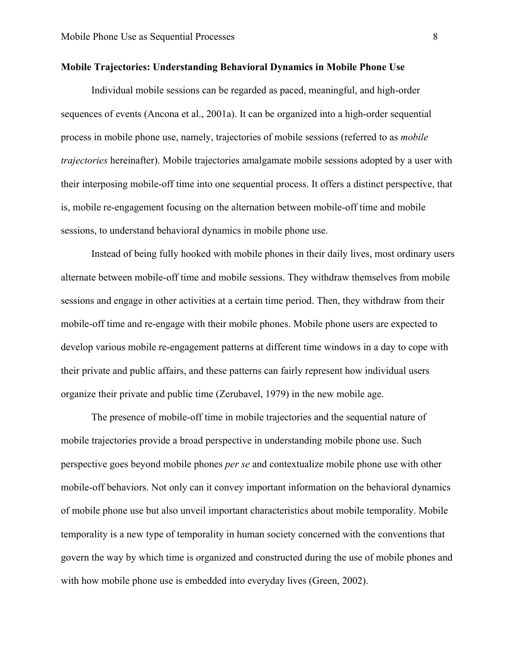## **Mobile Trajectories: Understanding Behavioral Dynamics in Mobile Phone Use**

Individual mobile sessions can be regarded as paced, meaningful, and high-order sequences of events (Ancona et al., 2001a). It can be organized into a high-order sequential process in mobile phone use, namely, trajectories of mobile sessions (referred to as *mobile trajectories* hereinafter). Mobile trajectories amalgamate mobile sessions adopted by a user with their interposing mobile-off time into one sequential process. It offers a distinct perspective, that is, mobile re-engagement focusing on the alternation between mobile-off time and mobile sessions, to understand behavioral dynamics in mobile phone use.

Instead of being fully hooked with mobile phones in their daily lives, most ordinary users alternate between mobile-off time and mobile sessions. They withdraw themselves from mobile sessions and engage in other activities at a certain time period. Then, they withdraw from their mobile-off time and re-engage with their mobile phones. Mobile phone users are expected to develop various mobile re-engagement patterns at different time windows in a day to cope with their private and public affairs, and these patterns can fairly represent how individual users organize their private and public time (Zerubavel, 1979) in the new mobile age.

The presence of mobile-off time in mobile trajectories and the sequential nature of mobile trajectories provide a broad perspective in understanding mobile phone use. Such perspective goes beyond mobile phones *per se* and contextualize mobile phone use with other mobile-off behaviors. Not only can it convey important information on the behavioral dynamics of mobile phone use but also unveil important characteristics about mobile temporality. Mobile temporality is a new type of temporality in human society concerned with the conventions that govern the way by which time is organized and constructed during the use of mobile phones and with how mobile phone use is embedded into everyday lives (Green, 2002).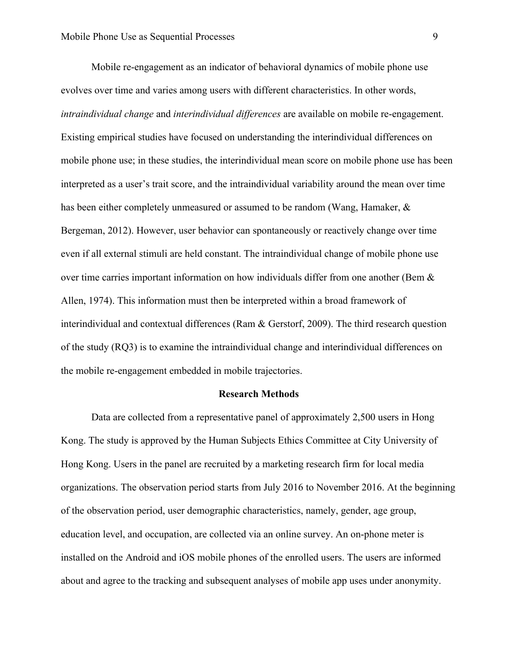Mobile re-engagement as an indicator of behavioral dynamics of mobile phone use evolves over time and varies among users with different characteristics. In other words, *intraindividual change* and *interindividual differences* are available on mobile re-engagement. Existing empirical studies have focused on understanding the interindividual differences on mobile phone use; in these studies, the interindividual mean score on mobile phone use has been interpreted as a user's trait score, and the intraindividual variability around the mean over time has been either completely unmeasured or assumed to be random (Wang, Hamaker, & Bergeman, 2012). However, user behavior can spontaneously or reactively change over time even if all external stimuli are held constant. The intraindividual change of mobile phone use over time carries important information on how individuals differ from one another (Bem & Allen, 1974). This information must then be interpreted within a broad framework of interindividual and contextual differences (Ram & Gerstorf, 2009). The third research question of the study (RQ3) is to examine the intraindividual change and interindividual differences on the mobile re-engagement embedded in mobile trajectories.

#### **Research Methods**

Data are collected from a representative panel of approximately 2,500 users in Hong Kong. The study is approved by the Human Subjects Ethics Committee at City University of Hong Kong. Users in the panel are recruited by a marketing research firm for local media organizations. The observation period starts from July 2016 to November 2016. At the beginning of the observation period, user demographic characteristics, namely, gender, age group, education level, and occupation, are collected via an online survey. An on-phone meter is installed on the Android and iOS mobile phones of the enrolled users. The users are informed about and agree to the tracking and subsequent analyses of mobile app uses under anonymity.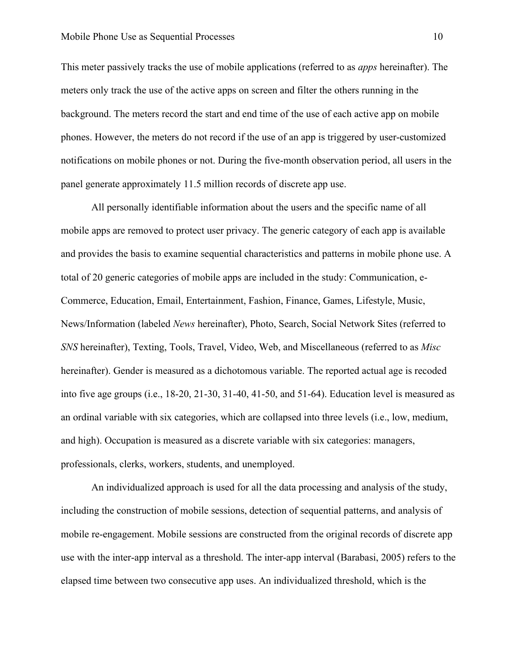This meter passively tracks the use of mobile applications (referred to as *apps* hereinafter). The meters only track the use of the active apps on screen and filter the others running in the background. The meters record the start and end time of the use of each active app on mobile phones. However, the meters do not record if the use of an app is triggered by user-customized notifications on mobile phones or not. During the five-month observation period, all users in the panel generate approximately 11.5 million records of discrete app use.

All personally identifiable information about the users and the specific name of all mobile apps are removed to protect user privacy. The generic category of each app is available and provides the basis to examine sequential characteristics and patterns in mobile phone use. A total of 20 generic categories of mobile apps are included in the study: Communication, e-Commerce, Education, Email, Entertainment, Fashion, Finance, Games, Lifestyle, Music, News/Information (labeled *News* hereinafter), Photo, Search, Social Network Sites (referred to *SNS* hereinafter), Texting, Tools, Travel, Video, Web, and Miscellaneous (referred to as *Misc* hereinafter). Gender is measured as a dichotomous variable. The reported actual age is recoded into five age groups (i.e., 18-20, 21-30, 31-40, 41-50, and 51-64). Education level is measured as an ordinal variable with six categories, which are collapsed into three levels (i.e., low, medium, and high). Occupation is measured as a discrete variable with six categories: managers, professionals, clerks, workers, students, and unemployed.

An individualized approach is used for all the data processing and analysis of the study, including the construction of mobile sessions, detection of sequential patterns, and analysis of mobile re-engagement. Mobile sessions are constructed from the original records of discrete app use with the inter-app interval as a threshold. The inter-app interval (Barabasi, 2005) refers to the elapsed time between two consecutive app uses. An individualized threshold, which is the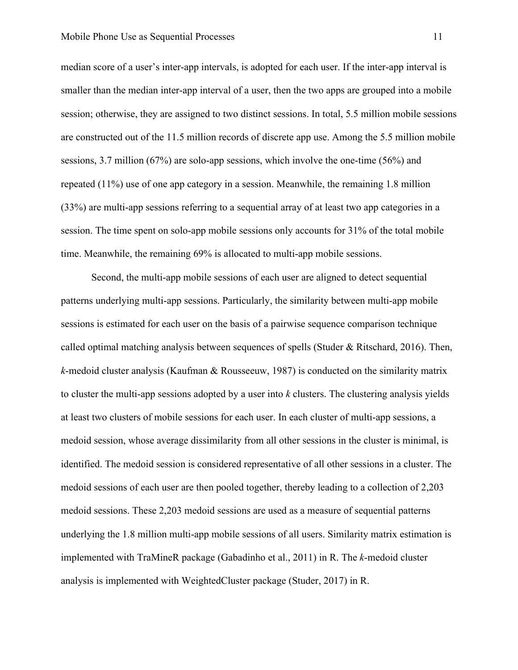median score of a user's inter-app intervals, is adopted for each user. If the inter-app interval is smaller than the median inter-app interval of a user, then the two apps are grouped into a mobile session; otherwise, they are assigned to two distinct sessions. In total, 5.5 million mobile sessions are constructed out of the 11.5 million records of discrete app use. Among the 5.5 million mobile sessions, 3.7 million (67%) are solo-app sessions, which involve the one-time (56%) and repeated (11%) use of one app category in a session. Meanwhile, the remaining 1.8 million (33%) are multi-app sessions referring to a sequential array of at least two app categories in a session. The time spent on solo-app mobile sessions only accounts for 31% of the total mobile time. Meanwhile, the remaining 69% is allocated to multi-app mobile sessions.

Second, the multi-app mobile sessions of each user are aligned to detect sequential patterns underlying multi-app sessions. Particularly, the similarity between multi-app mobile sessions is estimated for each user on the basis of a pairwise sequence comparison technique called optimal matching analysis between sequences of spells (Studer & Ritschard, 2016). Then, *k*-medoid cluster analysis (Kaufman & Rousseeuw, 1987) is conducted on the similarity matrix to cluster the multi-app sessions adopted by a user into *k* clusters. The clustering analysis yields at least two clusters of mobile sessions for each user. In each cluster of multi-app sessions, a medoid session, whose average dissimilarity from all other sessions in the cluster is minimal, is identified. The medoid session is considered representative of all other sessions in a cluster. The medoid sessions of each user are then pooled together, thereby leading to a collection of 2,203 medoid sessions. These 2,203 medoid sessions are used as a measure of sequential patterns underlying the 1.8 million multi-app mobile sessions of all users. Similarity matrix estimation is implemented with TraMineR package (Gabadinho et al., 2011) in R. The *k*-medoid cluster analysis is implemented with WeightedCluster package (Studer, 2017) in R.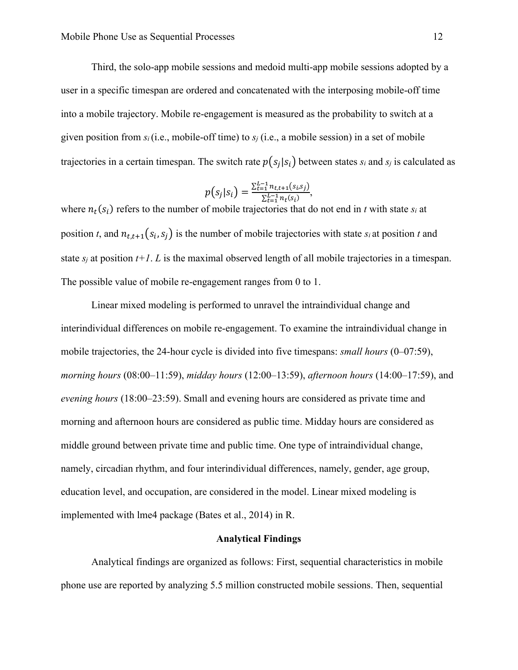Third, the solo-app mobile sessions and medoid multi-app mobile sessions adopted by a user in a specific timespan are ordered and concatenated with the interposing mobile-off time into a mobile trajectory. Mobile re-engagement is measured as the probability to switch at a given position from *si*(i.e., mobile-off time) to *s<sup>j</sup>* (i.e., a mobile session) in a set of mobile trajectories in a certain timespan. The switch rate  $p(s_j|s_i)$  between states  $s_i$  and  $s_j$  is calculated as

$$
p(s_j|s_i) = \frac{\sum_{t=1}^{L-1} n_{t,t+1}(s_i,s_j)}{\sum_{t=1}^{L-1} n_t(s_i)},
$$

where  $n_t(s_i)$  refers to the number of mobile trajectories that do not end in *t* with state  $s_i$  at position *t*, and  $n_{t,t+1}(s_i, s_j)$  is the number of mobile trajectories with state  $s_i$  at position *t* and state  $s_i$  at position  $t+1$ . *L* is the maximal observed length of all mobile trajectories in a timespan. The possible value of mobile re-engagement ranges from 0 to 1.

Linear mixed modeling is performed to unravel the intraindividual change and interindividual differences on mobile re-engagement. To examine the intraindividual change in mobile trajectories, the 24-hour cycle is divided into five timespans: *small hours* (0–07:59), *morning hours* (08:00–11:59), *midday hours* (12:00–13:59), *afternoon hours* (14:00–17:59), and *evening hours* (18:00–23:59). Small and evening hours are considered as private time and morning and afternoon hours are considered as public time. Midday hours are considered as middle ground between private time and public time. One type of intraindividual change, namely, circadian rhythm, and four interindividual differences, namely, gender, age group, education level, and occupation, are considered in the model. Linear mixed modeling is implemented with lme4 package (Bates et al., 2014) in R.

#### **Analytical Findings**

Analytical findings are organized as follows: First, sequential characteristics in mobile phone use are reported by analyzing 5.5 million constructed mobile sessions. Then, sequential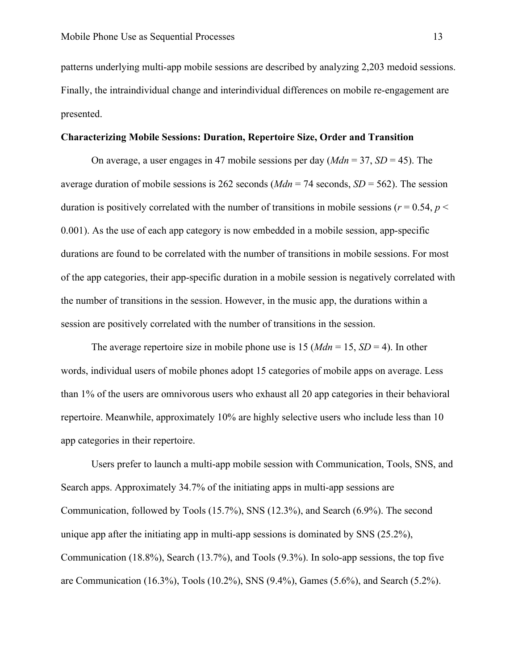patterns underlying multi-app mobile sessions are described by analyzing 2,203 medoid sessions. Finally, the intraindividual change and interindividual differences on mobile re-engagement are presented.

### **Characterizing Mobile Sessions: Duration, Repertoire Size, Order and Transition**

On average, a user engages in 47 mobile sessions per day (*Mdn* = 37, *SD* = 45). The average duration of mobile sessions is 262 seconds  $(Mdn = 74$  seconds,  $SD = 562$ ). The session duration is positively correlated with the number of transitions in mobile sessions ( $r = 0.54$ ,  $p <$ 0.001). As the use of each app category is now embedded in a mobile session, app-specific durations are found to be correlated with the number of transitions in mobile sessions. For most of the app categories, their app-specific duration in a mobile session is negatively correlated with the number of transitions in the session. However, in the music app, the durations within a session are positively correlated with the number of transitions in the session.

The average repertoire size in mobile phone use is  $15 (Mdn = 15, SD = 4)$ . In other words, individual users of mobile phones adopt 15 categories of mobile apps on average. Less than 1% of the users are omnivorous users who exhaust all 20 app categories in their behavioral repertoire. Meanwhile, approximately 10% are highly selective users who include less than 10 app categories in their repertoire.

Users prefer to launch a multi-app mobile session with Communication, Tools, SNS, and Search apps. Approximately 34.7% of the initiating apps in multi-app sessions are Communication, followed by Tools (15.7%), SNS (12.3%), and Search (6.9%). The second unique app after the initiating app in multi-app sessions is dominated by SNS (25.2%), Communication (18.8%), Search (13.7%), and Tools (9.3%). In solo-app sessions, the top five are Communication (16.3%), Tools (10.2%), SNS (9.4%), Games (5.6%), and Search (5.2%).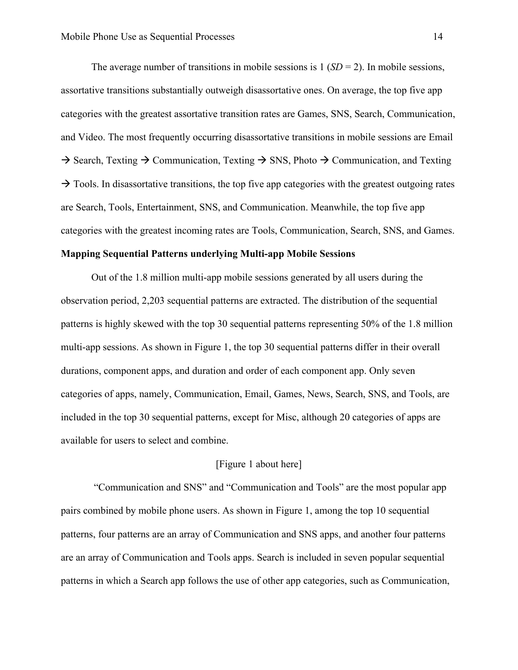The average number of transitions in mobile sessions is  $1 (SD = 2)$ . In mobile sessions, assortative transitions substantially outweigh disassortative ones. On average, the top five app categories with the greatest assortative transition rates are Games, SNS, Search, Communication, and Video. The most frequently occurring disassortative transitions in mobile sessions are Email  $\rightarrow$  Search, Texting  $\rightarrow$  Communication, Texting  $\rightarrow$  SNS, Photo  $\rightarrow$  Communication, and Texting  $\rightarrow$  Tools. In disassortative transitions, the top five app categories with the greatest outgoing rates are Search, Tools, Entertainment, SNS, and Communication. Meanwhile, the top five app categories with the greatest incoming rates are Tools, Communication, Search, SNS, and Games.

# **Mapping Sequential Patterns underlying Multi-app Mobile Sessions**

Out of the 1.8 million multi-app mobile sessions generated by all users during the observation period, 2,203 sequential patterns are extracted. The distribution of the sequential patterns is highly skewed with the top 30 sequential patterns representing 50% of the 1.8 million multi-app sessions. As shown in Figure 1, the top 30 sequential patterns differ in their overall durations, component apps, and duration and order of each component app. Only seven categories of apps, namely, Communication, Email, Games, News, Search, SNS, and Tools, are included in the top 30 sequential patterns, except for Misc, although 20 categories of apps are available for users to select and combine.

# [Figure 1 about here]

"Communication and SNS" and "Communication and Tools" are the most popular app pairs combined by mobile phone users. As shown in Figure 1, among the top 10 sequential patterns, four patterns are an array of Communication and SNS apps, and another four patterns are an array of Communication and Tools apps. Search is included in seven popular sequential patterns in which a Search app follows the use of other app categories, such as Communication,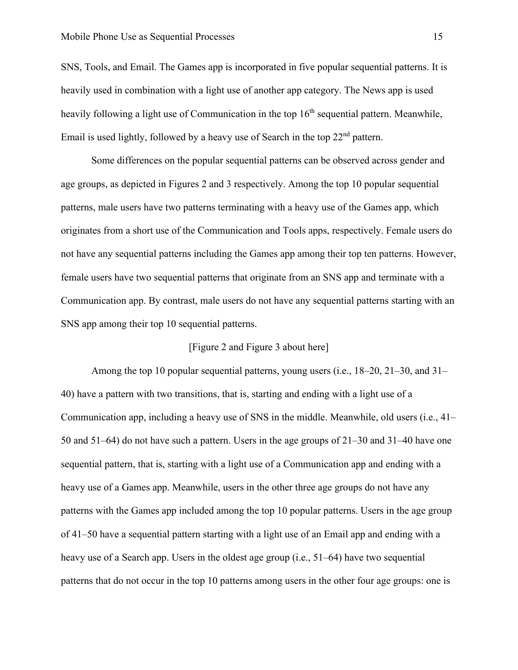SNS, Tools, and Email. The Games app is incorporated in five popular sequential patterns. It is heavily used in combination with a light use of another app category. The News app is used heavily following a light use of Communication in the top  $16<sup>th</sup>$  sequential pattern. Meanwhile, Email is used lightly, followed by a heavy use of Search in the top  $22<sup>nd</sup>$  pattern.

Some differences on the popular sequential patterns can be observed across gender and age groups, as depicted in Figures 2 and 3 respectively. Among the top 10 popular sequential patterns, male users have two patterns terminating with a heavy use of the Games app, which originates from a short use of the Communication and Tools apps, respectively. Female users do not have any sequential patterns including the Games app among their top ten patterns. However, female users have two sequential patterns that originate from an SNS app and terminate with a Communication app. By contrast, male users do not have any sequential patterns starting with an SNS app among their top 10 sequential patterns.

# [Figure 2 and Figure 3 about here]

Among the top 10 popular sequential patterns, young users (i.e., 18–20, 21–30, and 31– 40) have a pattern with two transitions, that is, starting and ending with a light use of a Communication app, including a heavy use of SNS in the middle. Meanwhile, old users (i.e., 41– 50 and 51–64) do not have such a pattern. Users in the age groups of 21–30 and 31–40 have one sequential pattern, that is, starting with a light use of a Communication app and ending with a heavy use of a Games app. Meanwhile, users in the other three age groups do not have any patterns with the Games app included among the top 10 popular patterns. Users in the age group of 41–50 have a sequential pattern starting with a light use of an Email app and ending with a heavy use of a Search app. Users in the oldest age group (i.e., 51–64) have two sequential patterns that do not occur in the top 10 patterns among users in the other four age groups: one is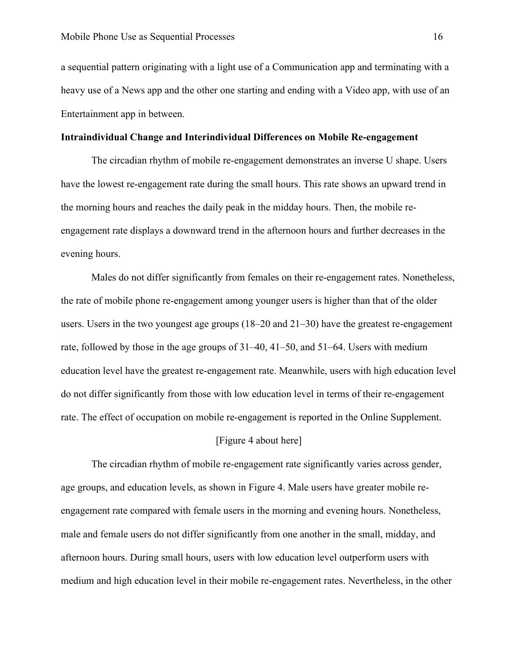a sequential pattern originating with a light use of a Communication app and terminating with a heavy use of a News app and the other one starting and ending with a Video app, with use of an Entertainment app in between.

## **Intraindividual Change and Interindividual Differences on Mobile Re-engagement**

The circadian rhythm of mobile re-engagement demonstrates an inverse U shape. Users have the lowest re-engagement rate during the small hours. This rate shows an upward trend in the morning hours and reaches the daily peak in the midday hours. Then, the mobile reengagement rate displays a downward trend in the afternoon hours and further decreases in the evening hours.

Males do not differ significantly from females on their re-engagement rates. Nonetheless, the rate of mobile phone re-engagement among younger users is higher than that of the older users. Users in the two youngest age groups  $(18–20 \text{ and } 21–30)$  have the greatest re-engagement rate, followed by those in the age groups of 31–40, 41–50, and 51–64. Users with medium education level have the greatest re-engagement rate. Meanwhile, users with high education level do not differ significantly from those with low education level in terms of their re-engagement rate. The effect of occupation on mobile re-engagement is reported in the Online Supplement.

# [Figure 4 about here]

The circadian rhythm of mobile re-engagement rate significantly varies across gender, age groups, and education levels, as shown in Figure 4. Male users have greater mobile reengagement rate compared with female users in the morning and evening hours. Nonetheless, male and female users do not differ significantly from one another in the small, midday, and afternoon hours. During small hours, users with low education level outperform users with medium and high education level in their mobile re-engagement rates. Nevertheless, in the other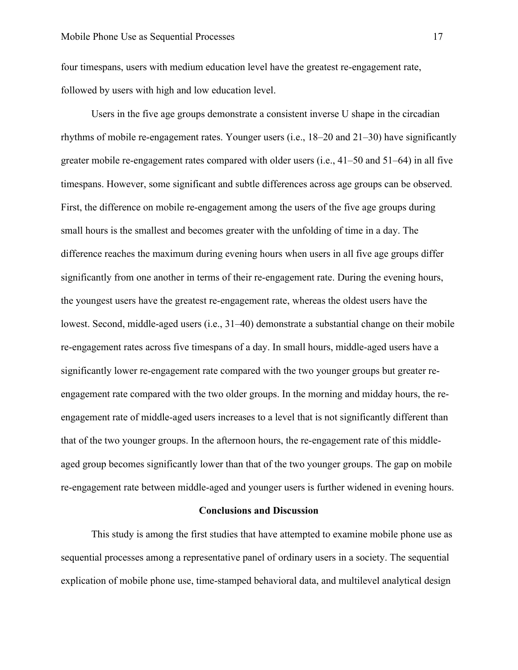four timespans, users with medium education level have the greatest re-engagement rate, followed by users with high and low education level.

Users in the five age groups demonstrate a consistent inverse U shape in the circadian rhythms of mobile re-engagement rates. Younger users (i.e., 18–20 and 21–30) have significantly greater mobile re-engagement rates compared with older users (i.e., 41–50 and 51–64) in all five timespans. However, some significant and subtle differences across age groups can be observed. First, the difference on mobile re-engagement among the users of the five age groups during small hours is the smallest and becomes greater with the unfolding of time in a day. The difference reaches the maximum during evening hours when users in all five age groups differ significantly from one another in terms of their re-engagement rate. During the evening hours, the youngest users have the greatest re-engagement rate, whereas the oldest users have the lowest. Second, middle-aged users (i.e., 31–40) demonstrate a substantial change on their mobile re-engagement rates across five timespans of a day. In small hours, middle-aged users have a significantly lower re-engagement rate compared with the two younger groups but greater reengagement rate compared with the two older groups. In the morning and midday hours, the reengagement rate of middle-aged users increases to a level that is not significantly different than that of the two younger groups. In the afternoon hours, the re-engagement rate of this middleaged group becomes significantly lower than that of the two younger groups. The gap on mobile re-engagement rate between middle-aged and younger users is further widened in evening hours.

#### **Conclusions and Discussion**

This study is among the first studies that have attempted to examine mobile phone use as sequential processes among a representative panel of ordinary users in a society. The sequential explication of mobile phone use, time-stamped behavioral data, and multilevel analytical design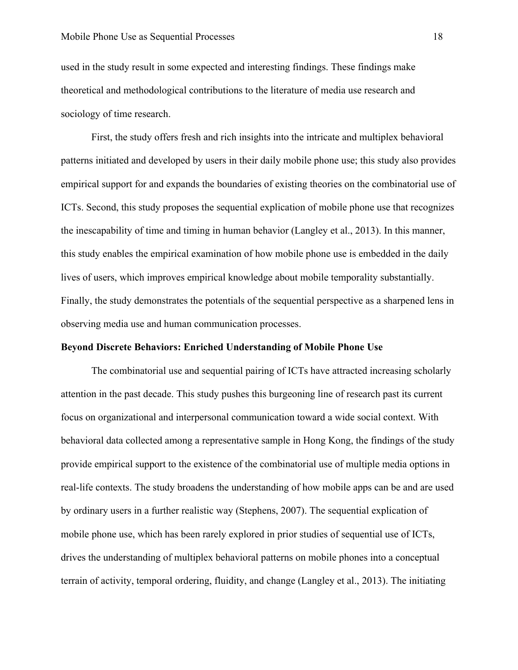### Mobile Phone Use as Sequential Processes 18

used in the study result in some expected and interesting findings. These findings make theoretical and methodological contributions to the literature of media use research and sociology of time research.

First, the study offers fresh and rich insights into the intricate and multiplex behavioral patterns initiated and developed by users in their daily mobile phone use; this study also provides empirical support for and expands the boundaries of existing theories on the combinatorial use of ICTs. Second, this study proposes the sequential explication of mobile phone use that recognizes the inescapability of time and timing in human behavior (Langley et al., 2013). In this manner, this study enables the empirical examination of how mobile phone use is embedded in the daily lives of users, which improves empirical knowledge about mobile temporality substantially. Finally, the study demonstrates the potentials of the sequential perspective as a sharpened lens in observing media use and human communication processes.

# **Beyond Discrete Behaviors: Enriched Understanding of Mobile Phone Use**

The combinatorial use and sequential pairing of ICTs have attracted increasing scholarly attention in the past decade. This study pushes this burgeoning line of research past its current focus on organizational and interpersonal communication toward a wide social context. With behavioral data collected among a representative sample in Hong Kong, the findings of the study provide empirical support to the existence of the combinatorial use of multiple media options in real-life contexts. The study broadens the understanding of how mobile apps can be and are used by ordinary users in a further realistic way (Stephens, 2007). The sequential explication of mobile phone use, which has been rarely explored in prior studies of sequential use of ICTs, drives the understanding of multiplex behavioral patterns on mobile phones into a conceptual terrain of activity, temporal ordering, fluidity, and change (Langley et al., 2013). The initiating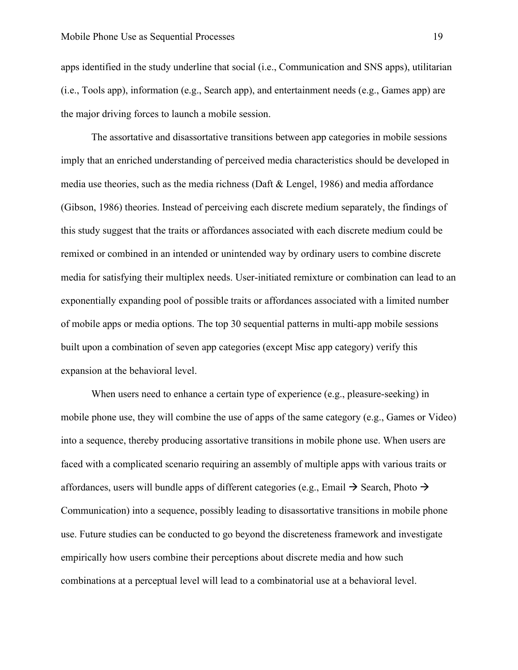apps identified in the study underline that social (i.e., Communication and SNS apps), utilitarian (i.e., Tools app), information (e.g., Search app), and entertainment needs (e.g., Games app) are the major driving forces to launch a mobile session.

The assortative and disassortative transitions between app categories in mobile sessions imply that an enriched understanding of perceived media characteristics should be developed in media use theories, such as the media richness (Daft & Lengel, 1986) and media affordance (Gibson, 1986) theories. Instead of perceiving each discrete medium separately, the findings of this study suggest that the traits or affordances associated with each discrete medium could be remixed or combined in an intended or unintended way by ordinary users to combine discrete media for satisfying their multiplex needs. User-initiated remixture or combination can lead to an exponentially expanding pool of possible traits or affordances associated with a limited number of mobile apps or media options. The top 30 sequential patterns in multi-app mobile sessions built upon a combination of seven app categories (except Misc app category) verify this expansion at the behavioral level.

When users need to enhance a certain type of experience (e.g., pleasure-seeking) in mobile phone use, they will combine the use of apps of the same category (e.g., Games or Video) into a sequence, thereby producing assortative transitions in mobile phone use. When users are faced with a complicated scenario requiring an assembly of multiple apps with various traits or affordances, users will bundle apps of different categories (e.g., Email  $\rightarrow$  Search, Photo  $\rightarrow$ Communication) into a sequence, possibly leading to disassortative transitions in mobile phone use. Future studies can be conducted to go beyond the discreteness framework and investigate empirically how users combine their perceptions about discrete media and how such combinations at a perceptual level will lead to a combinatorial use at a behavioral level.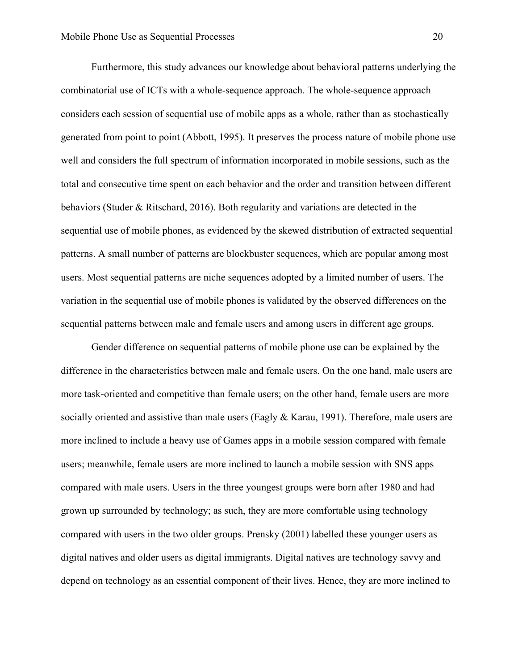Furthermore, this study advances our knowledge about behavioral patterns underlying the combinatorial use of ICTs with a whole-sequence approach. The whole-sequence approach considers each session of sequential use of mobile apps as a whole, rather than as stochastically generated from point to point (Abbott, 1995). It preserves the process nature of mobile phone use well and considers the full spectrum of information incorporated in mobile sessions, such as the total and consecutive time spent on each behavior and the order and transition between different behaviors (Studer & Ritschard, 2016). Both regularity and variations are detected in the sequential use of mobile phones, as evidenced by the skewed distribution of extracted sequential patterns. A small number of patterns are blockbuster sequences, which are popular among most users. Most sequential patterns are niche sequences adopted by a limited number of users. The variation in the sequential use of mobile phones is validated by the observed differences on the sequential patterns between male and female users and among users in different age groups.

Gender difference on sequential patterns of mobile phone use can be explained by the difference in the characteristics between male and female users. On the one hand, male users are more task-oriented and competitive than female users; on the other hand, female users are more socially oriented and assistive than male users (Eagly  $&$  Karau, 1991). Therefore, male users are more inclined to include a heavy use of Games apps in a mobile session compared with female users; meanwhile, female users are more inclined to launch a mobile session with SNS apps compared with male users. Users in the three youngest groups were born after 1980 and had grown up surrounded by technology; as such, they are more comfortable using technology compared with users in the two older groups. Prensky (2001) labelled these younger users as digital natives and older users as digital immigrants. Digital natives are technology savvy and depend on technology as an essential component of their lives. Hence, they are more inclined to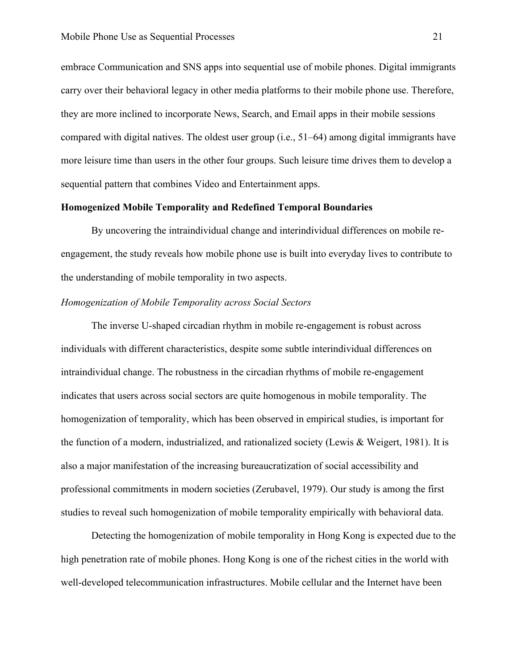embrace Communication and SNS apps into sequential use of mobile phones. Digital immigrants carry over their behavioral legacy in other media platforms to their mobile phone use. Therefore, they are more inclined to incorporate News, Search, and Email apps in their mobile sessions compared with digital natives. The oldest user group (i.e., 51–64) among digital immigrants have more leisure time than users in the other four groups. Such leisure time drives them to develop a sequential pattern that combines Video and Entertainment apps.

## **Homogenized Mobile Temporality and Redefined Temporal Boundaries**

By uncovering the intraindividual change and interindividual differences on mobile reengagement, the study reveals how mobile phone use is built into everyday lives to contribute to the understanding of mobile temporality in two aspects.

# *Homogenization of Mobile Temporality across Social Sectors*

The inverse U-shaped circadian rhythm in mobile re-engagement is robust across individuals with different characteristics, despite some subtle interindividual differences on intraindividual change. The robustness in the circadian rhythms of mobile re-engagement indicates that users across social sectors are quite homogenous in mobile temporality. The homogenization of temporality, which has been observed in empirical studies, is important for the function of a modern, industrialized, and rationalized society (Lewis & Weigert, 1981). It is also a major manifestation of the increasing bureaucratization of social accessibility and professional commitments in modern societies (Zerubavel, 1979). Our study is among the first studies to reveal such homogenization of mobile temporality empirically with behavioral data.

Detecting the homogenization of mobile temporality in Hong Kong is expected due to the high penetration rate of mobile phones. Hong Kong is one of the richest cities in the world with well-developed telecommunication infrastructures. Mobile cellular and the Internet have been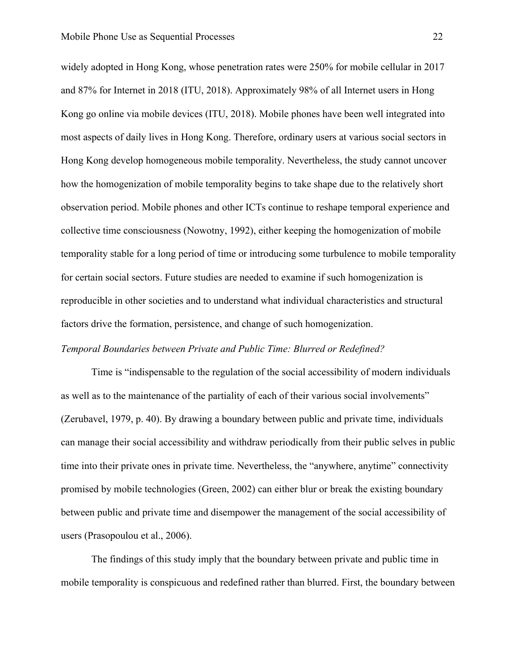widely adopted in Hong Kong, whose penetration rates were 250% for mobile cellular in 2017 and 87% for Internet in 2018 (ITU, 2018). Approximately 98% of all Internet users in Hong Kong go online via mobile devices (ITU, 2018). Mobile phones have been well integrated into most aspects of daily lives in Hong Kong. Therefore, ordinary users at various social sectors in Hong Kong develop homogeneous mobile temporality. Nevertheless, the study cannot uncover how the homogenization of mobile temporality begins to take shape due to the relatively short observation period. Mobile phones and other ICTs continue to reshape temporal experience and collective time consciousness (Nowotny, 1992), either keeping the homogenization of mobile temporality stable for a long period of time or introducing some turbulence to mobile temporality for certain social sectors. Future studies are needed to examine if such homogenization is reproducible in other societies and to understand what individual characteristics and structural factors drive the formation, persistence, and change of such homogenization.

# *Temporal Boundaries between Private and Public Time: Blurred or Redefined?*

Time is "indispensable to the regulation of the social accessibility of modern individuals as well as to the maintenance of the partiality of each of their various social involvements" (Zerubavel, 1979, p. 40). By drawing a boundary between public and private time, individuals can manage their social accessibility and withdraw periodically from their public selves in public time into their private ones in private time. Nevertheless, the "anywhere, anytime" connectivity promised by mobile technologies (Green, 2002) can either blur or break the existing boundary between public and private time and disempower the management of the social accessibility of users (Prasopoulou et al., 2006).

The findings of this study imply that the boundary between private and public time in mobile temporality is conspicuous and redefined rather than blurred. First, the boundary between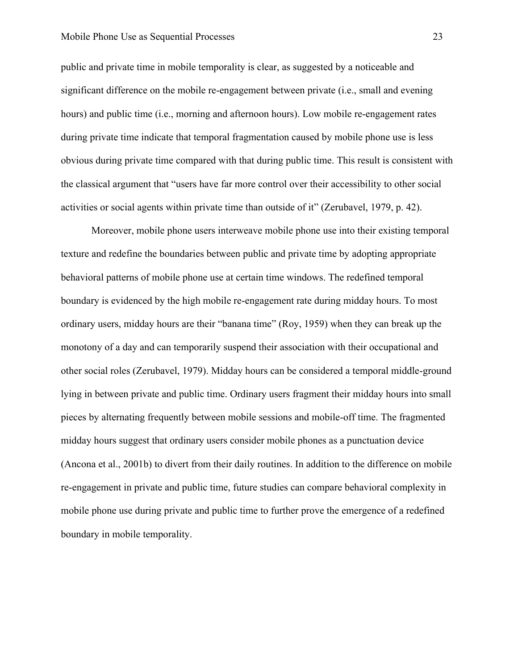public and private time in mobile temporality is clear, as suggested by a noticeable and significant difference on the mobile re-engagement between private (i.e., small and evening hours) and public time (i.e., morning and afternoon hours). Low mobile re-engagement rates during private time indicate that temporal fragmentation caused by mobile phone use is less obvious during private time compared with that during public time. This result is consistent with the classical argument that "users have far more control over their accessibility to other social activities or social agents within private time than outside of it" (Zerubavel, 1979, p. 42).

Moreover, mobile phone users interweave mobile phone use into their existing temporal texture and redefine the boundaries between public and private time by adopting appropriate behavioral patterns of mobile phone use at certain time windows. The redefined temporal boundary is evidenced by the high mobile re-engagement rate during midday hours. To most ordinary users, midday hours are their "banana time" (Roy, 1959) when they can break up the monotony of a day and can temporarily suspend their association with their occupational and other social roles (Zerubavel, 1979). Midday hours can be considered a temporal middle-ground lying in between private and public time. Ordinary users fragment their midday hours into small pieces by alternating frequently between mobile sessions and mobile-off time. The fragmented midday hours suggest that ordinary users consider mobile phones as a punctuation device (Ancona et al., 2001b) to divert from their daily routines. In addition to the difference on mobile re-engagement in private and public time, future studies can compare behavioral complexity in mobile phone use during private and public time to further prove the emergence of a redefined boundary in mobile temporality.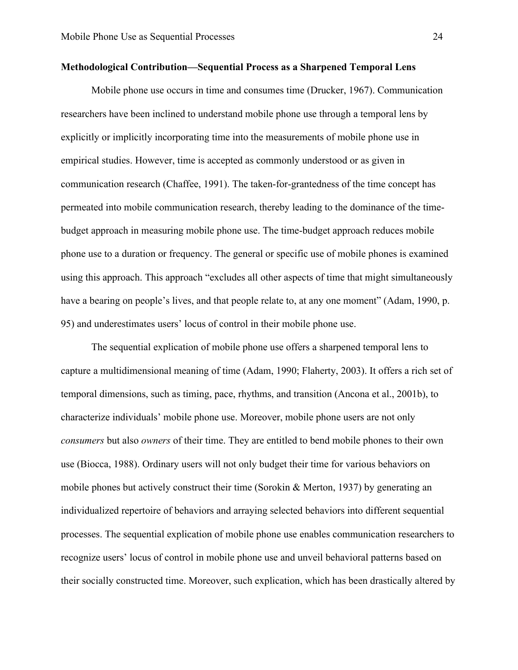## **Methodological Contribution—Sequential Process as a Sharpened Temporal Lens**

Mobile phone use occurs in time and consumes time (Drucker, 1967). Communication researchers have been inclined to understand mobile phone use through a temporal lens by explicitly or implicitly incorporating time into the measurements of mobile phone use in empirical studies. However, time is accepted as commonly understood or as given in communication research (Chaffee, 1991). The taken-for-grantedness of the time concept has permeated into mobile communication research, thereby leading to the dominance of the timebudget approach in measuring mobile phone use. The time-budget approach reduces mobile phone use to a duration or frequency. The general or specific use of mobile phones is examined using this approach. This approach "excludes all other aspects of time that might simultaneously have a bearing on people's lives, and that people relate to, at any one moment" (Adam, 1990, p. 95) and underestimates users' locus of control in their mobile phone use.

The sequential explication of mobile phone use offers a sharpened temporal lens to capture a multidimensional meaning of time (Adam, 1990; Flaherty, 2003). It offers a rich set of temporal dimensions, such as timing, pace, rhythms, and transition (Ancona et al., 2001b), to characterize individuals' mobile phone use. Moreover, mobile phone users are not only *consumers* but also *owners* of their time. They are entitled to bend mobile phones to their own use (Biocca, 1988). Ordinary users will not only budget their time for various behaviors on mobile phones but actively construct their time (Sorokin & Merton, 1937) by generating an individualized repertoire of behaviors and arraying selected behaviors into different sequential processes. The sequential explication of mobile phone use enables communication researchers to recognize users' locus of control in mobile phone use and unveil behavioral patterns based on their socially constructed time. Moreover, such explication, which has been drastically altered by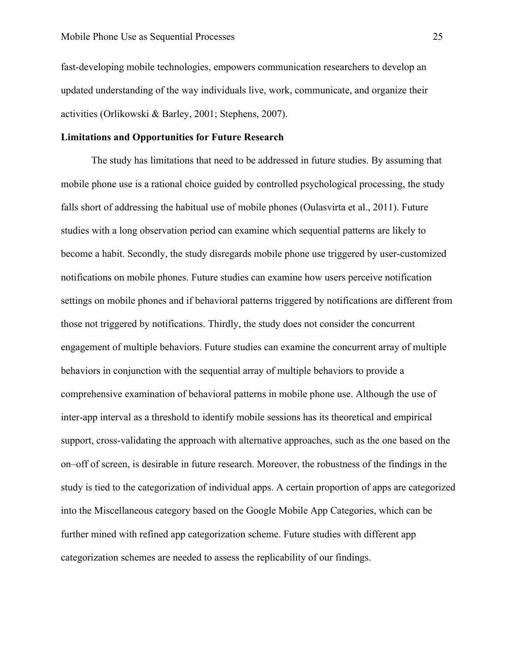fast-developing mobile technologies, empowers communication researchers to develop an updated understanding of the way individuals live, work, communicate, and organize their activities (Orlikowski & Barley, 2001; Stephens, 2007).

# **Limitations and Opportunities for Future Research**

The study has limitations that need to be addressed in future studies. By assuming that mobile phone use is a rational choice guided by controlled psychological processing, the study falls short of addressing the habitual use of mobile phones (Oulasvirta et al., 2011). Future studies with a long observation period can examine which sequential patterns are likely to become a habit. Secondly, the study disregards mobile phone use triggered by user-customized notifications on mobile phones. Future studies can examine how users perceive notification settings on mobile phones and if behavioral patterns triggered by notifications are different from those not triggered by notifications. Thirdly, the study does not consider the concurrent engagement of multiple behaviors. Future studies can examine the concurrent array of multiple behaviors in conjunction with the sequential array of multiple behaviors to provide a comprehensive examination of behavioral patterns in mobile phone use. Although the use of inter-app interval as a threshold to identify mobile sessions has its theoretical and empirical support, cross-validating the approach with alternative approaches, such as the one based on the on–off of screen, is desirable in future research. Moreover, the robustness of the findings in the study is tied to the categorization of individual apps. A certain proportion of apps are categorized into the Miscellaneous category based on the Google Mobile App Categories, which can be further mined with refined app categorization scheme. Future studies with different app categorization schemes are needed to assess the replicability of our findings.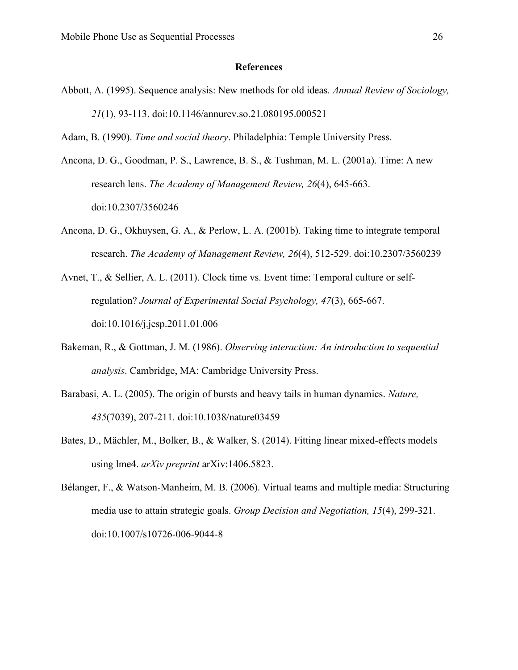#### **References**

Abbott, A. (1995). Sequence analysis: New methods for old ideas. *Annual Review of Sociology, 21*(1), 93-113. doi:10.1146/annurev.so.21.080195.000521

Adam, B. (1990). *Time and social theory*. Philadelphia: Temple University Press.

- Ancona, D. G., Goodman, P. S., Lawrence, B. S., & Tushman, M. L. (2001a). Time: A new research lens. *The Academy of Management Review, 26*(4), 645-663. doi:10.2307/3560246
- Ancona, D. G., Okhuysen, G. A., & Perlow, L. A. (2001b). Taking time to integrate temporal research. *The Academy of Management Review, 26*(4), 512-529. doi:10.2307/3560239
- Avnet, T., & Sellier, A. L. (2011). Clock time vs. Event time: Temporal culture or selfregulation? *Journal of Experimental Social Psychology, 47*(3), 665-667. doi:10.1016/j.jesp.2011.01.006
- Bakeman, R., & Gottman, J. M. (1986). *Observing interaction: An introduction to sequential analysis*. Cambridge, MA: Cambridge University Press.
- Barabasi, A. L. (2005). The origin of bursts and heavy tails in human dynamics. *Nature, 435*(7039), 207-211. doi:10.1038/nature03459
- Bates, D., Mächler, M., Bolker, B., & Walker, S. (2014). Fitting linear mixed-effects models using lme4. *arXiv preprint* arXiv:1406.5823.
- Bélanger, F., & Watson-Manheim, M. B. (2006). Virtual teams and multiple media: Structuring media use to attain strategic goals. *Group Decision and Negotiation, 15*(4), 299-321. doi:10.1007/s10726-006-9044-8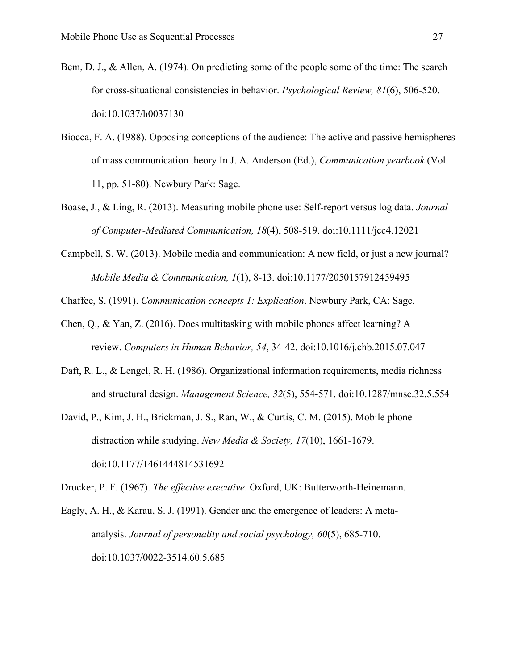- Bem, D. J., & Allen, A. (1974). On predicting some of the people some of the time: The search for cross-situational consistencies in behavior. *Psychological Review, 81*(6), 506-520. doi:10.1037/h0037130
- Biocca, F. A. (1988). Opposing conceptions of the audience: The active and passive hemispheres of mass communication theory In J. A. Anderson (Ed.), *Communication yearbook* (Vol. 11, pp. 51-80). Newbury Park: Sage.
- Boase, J., & Ling, R. (2013). Measuring mobile phone use: Self-report versus log data. *Journal of Computer-Mediated Communication, 18*(4), 508-519. doi:10.1111/jcc4.12021
- Campbell, S. W. (2013). Mobile media and communication: A new field, or just a new journal? *Mobile Media & Communication, 1*(1), 8-13. doi:10.1177/2050157912459495

Chaffee, S. (1991). *Communication concepts 1: Explication*. Newbury Park, CA: Sage.

- Chen, Q., & Yan, Z. (2016). Does multitasking with mobile phones affect learning? A review. *Computers in Human Behavior, 54*, 34-42. doi:10.1016/j.chb.2015.07.047
- Daft, R. L., & Lengel, R. H. (1986). Organizational information requirements, media richness and structural design. *Management Science, 32*(5), 554-571. doi:10.1287/mnsc.32.5.554
- David, P., Kim, J. H., Brickman, J. S., Ran, W., & Curtis, C. M. (2015). Mobile phone distraction while studying. *New Media & Society, 17*(10), 1661-1679. doi:10.1177/1461444814531692

Drucker, P. F. (1967). *The effective executive*. Oxford, UK: Butterworth-Heinemann.

Eagly, A. H., & Karau, S. J. (1991). Gender and the emergence of leaders: A metaanalysis. *Journal of personality and social psychology, 60*(5), 685-710. doi:10.1037/0022-3514.60.5.685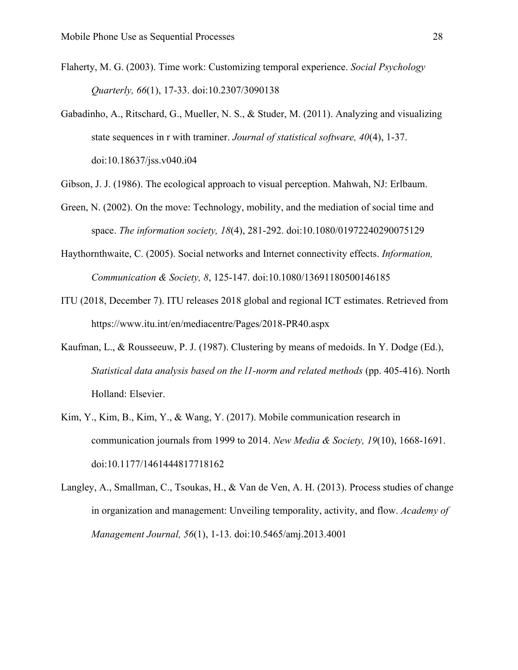- Flaherty, M. G. (2003). Time work: Customizing temporal experience. *Social Psychology Quarterly, 66*(1), 17-33. doi:10.2307/3090138
- Gabadinho, A., Ritschard, G., Mueller, N. S., & Studer, M. (2011). Analyzing and visualizing state sequences in r with traminer. *Journal of statistical software, 40*(4), 1-37. doi:10.18637/jss.v040.i04
- Gibson, J. J. (1986). The ecological approach to visual perception. Mahwah, NJ: Erlbaum.
- Green, N. (2002). On the move: Technology, mobility, and the mediation of social time and space. *The information society, 18*(4), 281-292. doi:10.1080/01972240290075129
- Haythornthwaite, C. (2005). Social networks and Internet connectivity effects. *Information, Communication & Society, 8*, 125-147. doi:10.1080/13691180500146185
- ITU (2018, December 7). ITU releases 2018 global and regional ICT estimates. Retrieved from https://www.itu.int/en/mediacentre/Pages/2018-PR40.aspx
- Kaufman, L., & Rousseeuw, P. J. (1987). Clustering by means of medoids. In Y. Dodge (Ed.), *Statistical data analysis based on the l1-norm and related methods* (pp. 405-416). North Holland: Elsevier.
- Kim, Y., Kim, B., Kim, Y., & Wang, Y. (2017). Mobile communication research in communication journals from 1999 to 2014. *New Media & Society, 19*(10), 1668-1691. doi:10.1177/1461444817718162
- Langley, A., Smallman, C., Tsoukas, H., & Van de Ven, A. H. (2013). Process studies of change in organization and management: Unveiling temporality, activity, and flow. *Academy of Management Journal, 56*(1), 1-13. doi:10.5465/amj.2013.4001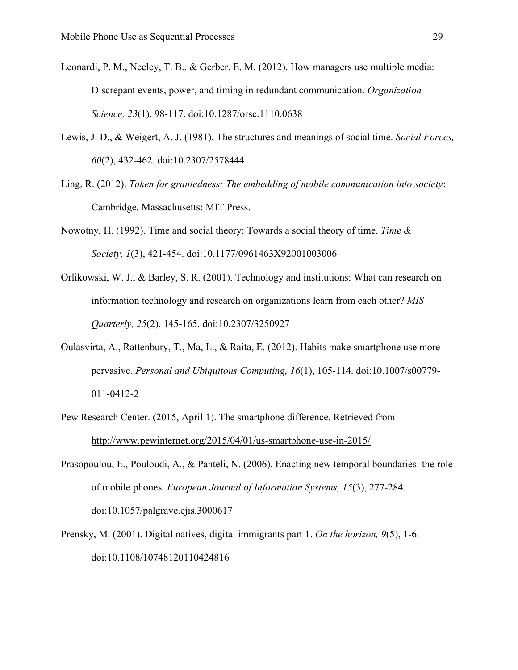- Leonardi, P. M., Neeley, T. B., & Gerber, E. M. (2012). How managers use multiple media: Discrepant events, power, and timing in redundant communication. *Organization Science, 23*(1), 98-117. doi:10.1287/orsc.1110.0638
- Lewis, J. D., & Weigert, A. J. (1981). The structures and meanings of social time. *Social Forces, 60*(2), 432-462. doi:10.2307/2578444
- Ling, R. (2012). *Taken for grantedness: The embedding of mobile communication into society*: Cambridge, Massachusetts: MIT Press.
- Nowotny, H. (1992). Time and social theory: Towards a social theory of time. *Time & Society, 1*(3), 421-454. doi:10.1177/0961463X92001003006
- Orlikowski, W. J., & Barley, S. R. (2001). Technology and institutions: What can research on information technology and research on organizations learn from each other? *MIS Quarterly, 25*(2), 145-165. doi:10.2307/3250927
- Oulasvirta, A., Rattenbury, T., Ma, L., & Raita, E. (2012). Habits make smartphone use more pervasive. *Personal and Ubiquitous Computing, 16*(1), 105-114. doi:10.1007/s00779- 011-0412-2
- Pew Research Center. (2015, April 1). The smartphone difference. Retrieved from <http://www.pewinternet.org/2015/04/01/us-smartphone-use-in-2015/>
- Prasopoulou, E., Pouloudi, A., & Panteli, N. (2006). Enacting new temporal boundaries: the role of mobile phones. *European Journal of Information Systems, 15*(3), 277-284. doi:10.1057/palgrave.ejis.3000617
- Prensky, M. (2001). Digital natives, digital immigrants part 1. *On the horizon, 9*(5), 1-6. doi:10.1108/10748120110424816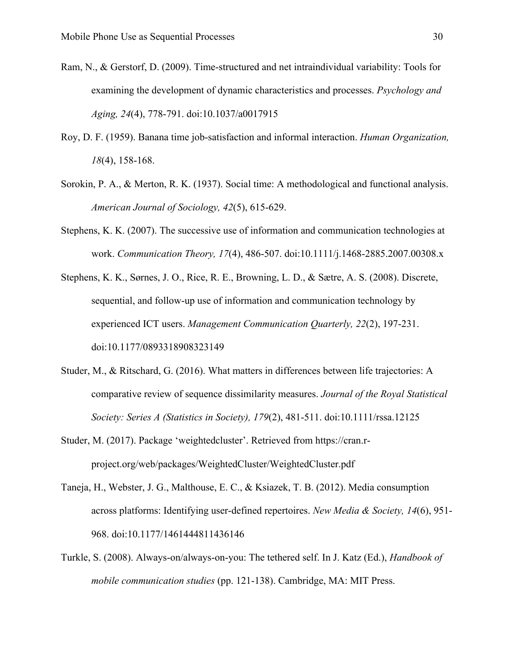- Ram, N., & Gerstorf, D. (2009). Time-structured and net intraindividual variability: Tools for examining the development of dynamic characteristics and processes. *Psychology and Aging, 24*(4), 778-791. doi:10.1037/a0017915
- Roy, D. F. (1959). Banana time job-satisfaction and informal interaction. *Human Organization, 18*(4), 158-168.
- Sorokin, P. A., & Merton, R. K. (1937). Social time: A methodological and functional analysis. *American Journal of Sociology, 42*(5), 615-629.
- Stephens, K. K. (2007). The successive use of information and communication technologies at work. *Communication Theory, 17*(4), 486-507. doi:10.1111/j.1468-2885.2007.00308.x
- Stephens, K. K., Sørnes, J. O., Rice, R. E., Browning, L. D., & Sætre, A. S. (2008). Discrete, sequential, and follow-up use of information and communication technology by experienced ICT users. *Management Communication Quarterly, 22*(2), 197-231. doi:10.1177/0893318908323149
- Studer, M., & Ritschard, G. (2016). What matters in differences between life trajectories: A comparative review of sequence dissimilarity measures. *Journal of the Royal Statistical Society: Series A (Statistics in Society), 179*(2), 481-511. doi:10.1111/rssa.12125
- Studer, M. (2017). Package 'weightedcluster'. Retrieved from https://cran.rproject.org/web/packages/WeightedCluster/WeightedCluster.pdf
- Taneja, H., Webster, J. G., Malthouse, E. C., & Ksiazek, T. B. (2012). Media consumption across platforms: Identifying user-defined repertoires. *New Media & Society, 14*(6), 951- 968. doi:10.1177/1461444811436146
- Turkle, S. (2008). Always-on/always-on-you: The tethered self. In J. Katz (Ed.), *Handbook of mobile communication studies* (pp. 121-138). Cambridge, MA: MIT Press.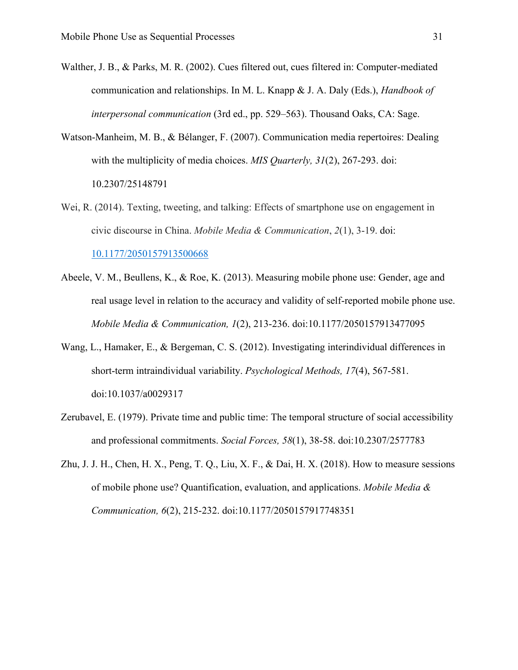- Walther, J. B., & Parks, M. R. (2002). Cues filtered out, cues filtered in: Computer-mediated communication and relationships. In M. L. Knapp & J. A. Daly (Eds.), *Handbook of interpersonal communication* (3rd ed., pp. 529–563). Thousand Oaks, CA: Sage.
- Watson-Manheim, M. B., & Bélanger, F. (2007). Communication media repertoires: Dealing with the multiplicity of media choices. *MIS Quarterly, 31*(2), 267-293. doi: 10.2307/25148791
- Wei, R. (2014). Texting, tweeting, and talking: Effects of smartphone use on engagement in civic discourse in China. *Mobile Media & Communication*, *2*(1), 3-19. doi: [10.1177/2050157913500668](https://doi.org/10.1177%2F2050157913500668)
- Abeele, V. M., Beullens, K., & Roe, K. (2013). Measuring mobile phone use: Gender, age and real usage level in relation to the accuracy and validity of self-reported mobile phone use. *Mobile Media & Communication, 1*(2), 213-236. doi:10.1177/2050157913477095
- Wang, L., Hamaker, E., & Bergeman, C. S. (2012). Investigating interindividual differences in short-term intraindividual variability. *Psychological Methods, 17*(4), 567-581. doi:10.1037/a0029317
- Zerubavel, E. (1979). Private time and public time: The temporal structure of social accessibility and professional commitments. *Social Forces, 58*(1), 38-58. doi:10.2307/2577783
- Zhu, J. J. H., Chen, H. X., Peng, T. Q., Liu, X. F., & Dai, H. X. (2018). How to measure sessions of mobile phone use? Quantification, evaluation, and applications. *Mobile Media & Communication, 6*(2), 215-232. doi:10.1177/2050157917748351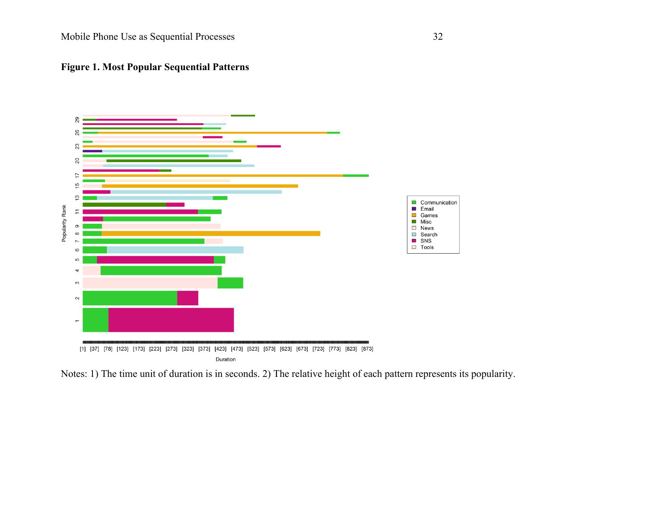



Notes: 1) The time unit of duration is in seconds. 2) The relative height of each pattern represents its popularity.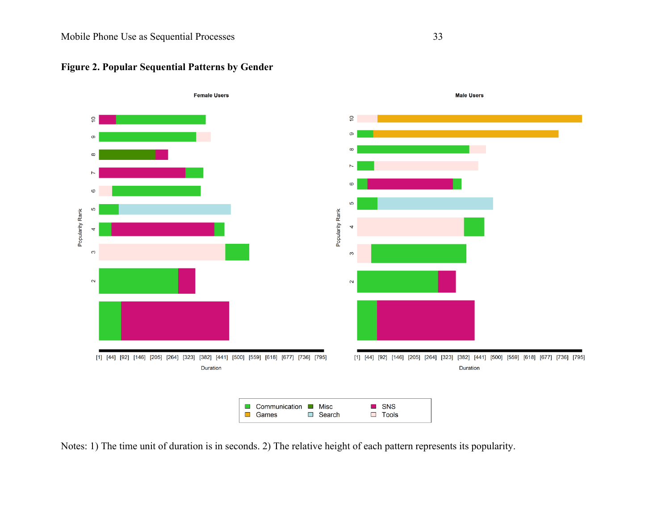

# **Figure 2. Popular Sequential Patterns by Gender**

Notes: 1) The time unit of duration is in seconds. 2) The relative height of each pattern represents its popularity.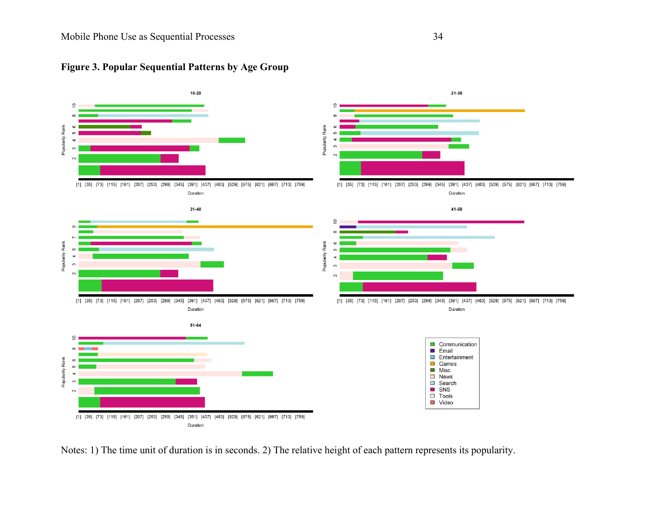

# **Figure 3. Popular Sequential Patterns by Age Group**

Notes: 1) The time unit of duration is in seconds. 2) The relative height of each pattern represents its popularity.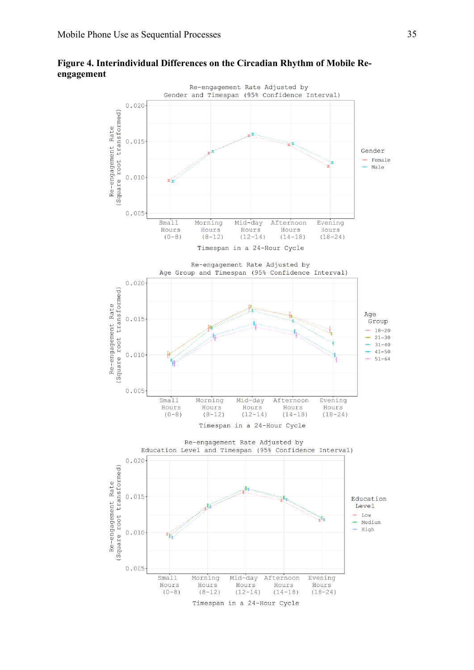# **Figure 4. Interindividual Differences on the Circadian Rhythm of Mobile Reengagement**